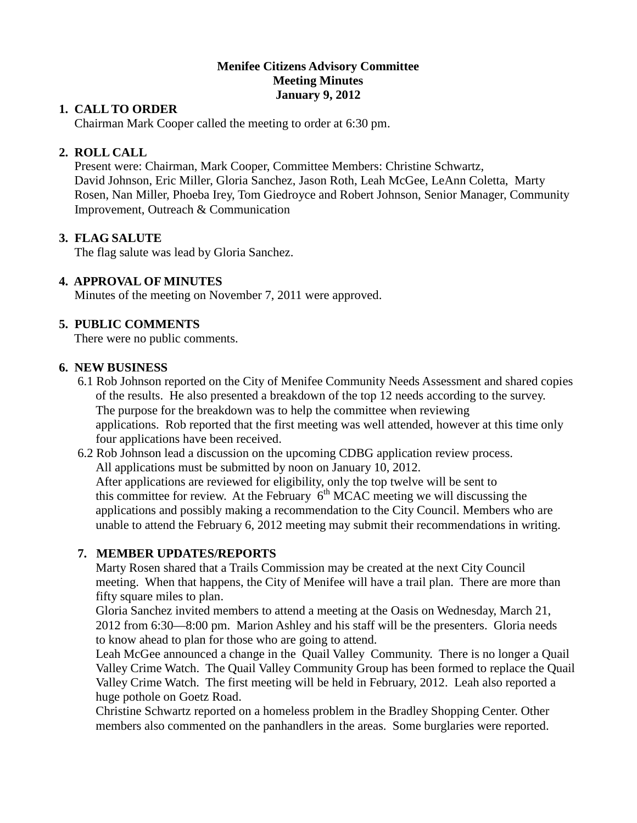## **Menifee Citizens Advisory Committee Meeting Minutes January 9, 2012**

## **1. CALL TO ORDER**

Chairman Mark Cooper called the meeting to order at 6:30 pm.

# **2. ROLL CALL**

 Present were: Chairman, Mark Cooper, Committee Members: Christine Schwartz, David Johnson, Eric Miller, Gloria Sanchez, Jason Roth, Leah McGee, LeAnn Coletta, Marty Rosen, Nan Miller, Phoeba Irey, Tom Giedroyce and Robert Johnson, Senior Manager, Community Improvement, Outreach & Communication

## **3. FLAG SALUTE**

The flag salute was lead by Gloria Sanchez.

## **4. APPROVAL OF MINUTES**

Minutes of the meeting on November 7, 2011 were approved.

# **5. PUBLIC COMMENTS**

There were no public comments.

### **6. NEW BUSINESS**

- 6.1 Rob Johnson reported on the City of Menifee Community Needs Assessment and shared copies of the results. He also presented a breakdown of the top 12 needs according to the survey. The purpose for the breakdown was to help the committee when reviewing applications. Rob reported that the first meeting was well attended, however at this time only four applications have been received.
- 6.2 Rob Johnson lead a discussion on the upcoming CDBG application review process. All applications must be submitted by noon on January 10, 2012. After applications are reviewed for eligibility, only the top twelve will be sent to this committee for review. At the February  $6<sup>th</sup> MCAC$  meeting we will discussing the applications and possibly making a recommendation to the City Council. Members who are unable to attend the February 6, 2012 meeting may submit their recommendations in writing.

## **7. MEMBER UPDATES/REPORTS**

Marty Rosen shared that a Trails Commission may be created at the next City Council meeting. When that happens, the City of Menifee will have a trail plan. There are more than fifty square miles to plan.

Gloria Sanchez invited members to attend a meeting at the Oasis on Wednesday, March 21, 2012 from 6:30—8:00 pm. Marion Ashley and his staff will be the presenters. Gloria needs to know ahead to plan for those who are going to attend.

Leah McGee announced a change in the Quail Valley Community. There is no longer a Quail Valley Crime Watch. The Quail Valley Community Group has been formed to replace the Quail Valley Crime Watch. The first meeting will be held in February, 2012. Leah also reported a huge pothole on Goetz Road.

Christine Schwartz reported on a homeless problem in the Bradley Shopping Center. Other members also commented on the panhandlers in the areas. Some burglaries were reported.